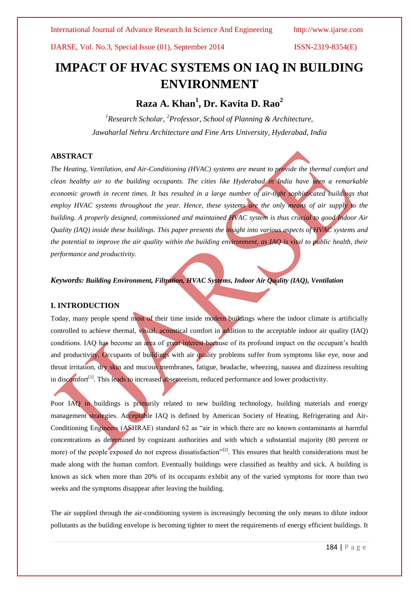# **IMPACT OF HVAC SYSTEMS ON IAQ IN BUILDING ENVIRONMENT**

## **Raza A. Khan<sup>1</sup> , Dr. Kavita D. Rao<sup>2</sup>**

*<sup>1</sup>Research Scholar, <sup>2</sup>Professor, School of Planning & Architecture, Jawaharlal Nehru Architecture and Fine Arts University, Hyderabad, India*

### **ABSTRACT**

*The Heating, Ventilation, and Air-Conditioning (HVAC) systems are meant to provide the thermal comfort and clean healthy air to the building occupants. The cities like Hyderabad in India have seen a remarkable*  economic growth in recent times. It has resulted in a large number of air-tight sophisticated buildings that *employ HVAC systems throughout the year. Hence, these systems are the only means of air supply to the building. A properly designed, commissioned and maintained HVAC system is thus crucial to good Indoor Air Quality (IAQ) inside these buildings. This paper presents the insight into various aspects of HVAC systems and the potential to improve the air quality within the building environment, as IAQ is vital to public health, their performance and productivity.*

*Keywords: Building Environment, Filtration, HVAC Systems, Indoor Air Quality (IAQ), Ventilation* 

### **I. INTRODUCTION**

Today, many people spend most of their time inside modern buildings where the indoor climate is artificially controlled to achieve thermal, visual, acoustical comfort in addition to the acceptable indoor air quality (IAQ) conditions. IAQ has become an area of great interest because of its profound impact on the occupant's health and productivity. Occupants of buildings with air quality problems suffer from symptoms like eye, nose and throat irritation, dry skin and mucous membranes, fatigue, headache, wheezing, nausea and dizziness resulting in discomfort<sup>[\[1\]](#page-7-0)</sup>. This leads to increased absenteeism, reduced performance and lower productivity.

Poor IAQ in buildings is primarily related to new building technology, building materials and energy management strategies. Acceptable IAQ is defined by American Society of Heating, Refrigerating and Air-Conditioning Engineers (ASHRAE) standard 62 as "air in which there are no known contaminants at harmful concentrations as determined by cognizant authorities and with which a substantial majority (80 percent or more) of the people exposed do not express dissatisfaction<sup>"[\[2\]](#page-7-1)</sup>. This ensures that health considerations must be made along with the human comfort. Eventually buildings were classified as healthy and sick. A building is known as sick when more than 20% of its occupants exhibit any of the varied symptoms for more than two weeks and the symptoms disappear after leaving the building.

The air supplied through the air-conditioning system is increasingly becoming the only means to dilute indoor pollutants as the building envelope is becoming tighter to meet the requirements of energy efficient buildings. It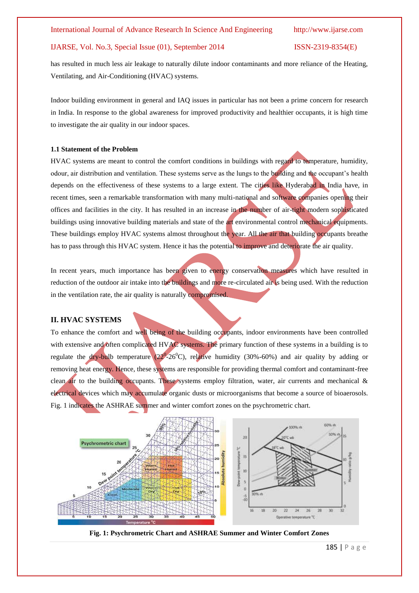has resulted in much less air leakage to naturally dilute indoor contaminants and more reliance of the Heating, Ventilating, and Air-Conditioning (HVAC) systems.

Indoor building environment in general and IAQ issues in particular has not been a prime concern for research in India. In response to the global awareness for improved productivity and healthier occupants, it is high time to investigate the air quality in our indoor spaces.

### **1.1 Statement of the Problem**

HVAC systems are meant to control the comfort conditions in buildings with regard to temperature, humidity, odour, air distribution and ventilation. These systems serve as the lungs to the building and the occupant's health depends on the effectiveness of these systems to a large extent. The cities like Hyderabad in India have, in recent times, seen a remarkable transformation with many multi-national and software companies opening their offices and facilities in the city. It has resulted in an increase in the number of air-tight modern sophisticated buildings using innovative building materials and state of the art environmental control mechanical equipments. These buildings employ HVAC systems almost throughout the year. All the air that building occupants breathe has to pass through this HVAC system. Hence it has the potential to improve and deteriorate the air quality.

In recent years, much importance has been given to energy conservation measures which have resulted in reduction of the outdoor air intake into the buildings and more re-circulated air is being used. With the reduction in the ventilation rate, the air quality is naturally compromised.

### **II. HVAC SYSTEMS**

To enhance the comfort and well being of the building occupants, indoor environments have been controlled with extensive and often complicated HVAC systems. The primary function of these systems in a building is to regulate the dry-bulb temperature  $(22^{\circ}$ -26<sup>°</sup>C), relative humidity (30%-60%) and air quality by adding or removing heat energy. Hence, these systems are responsible for providing thermal comfort and contaminant-free clean air to the building occupants. These systems employ filtration, water, air currents and mechanical & electrical devices which may accumulate organic dusts or microorganisms that become a source of bioaerosols. Fig. 1 indicates the ASHRAE summer and winter comfort zones on the psychrometric chart.



**Fig. 1: Psychrometric Chart and ASHRAE Summer and Winter Comfort Zones**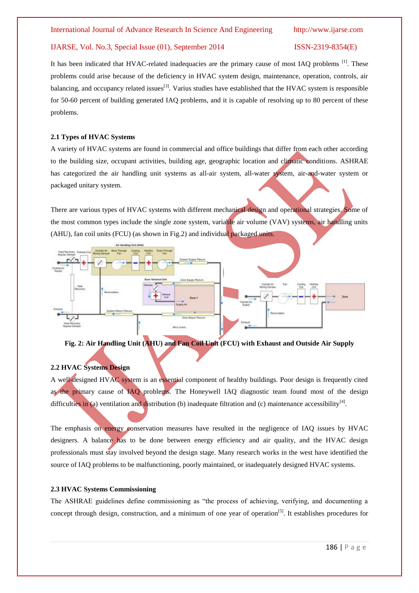It has been indicated that HVAC-related inadequacies are the primary cause of most IAQ problems [\[1\]](#page-7-0). These problems could arise because of the deficiency in HVAC system design, maintenance, operation, controls, air balancing, and occupancy related issues<sup>[\[3\]](#page-7-2)</sup>. Varius studies have established that the HVAC system is responsible for 50-60 percent of building generated IAQ problems, and it is capable of resolving up to 80 percent of these problems.

### **2.1 Types of HVAC Systems**

A variety of HVAC systems are found in commercial and office buildings that differ from each other according to the building size, occupant activities, building age, geographic location and climatic conditions. ASHRAE has categorized the air handling unit systems as all-air system, all-water system, air-and-water system or packaged unitary system.

There are various types of HVAC systems with different mechanical design and operational strategies. Some of the most common types include the single zone system, variable air volume (VAV) systems, air handling units (AHU), fan coil units (FCU) (as shown in Fig.2) and individual packaged units.



**Fig. 2: Air Handling Unit (AHU) and Fan Coil Unit (FCU) with Exhaust and Outside Air Supply**

### **2.2 HVAC Systems Design**

A well-designed HVAC system is an essential component of healthy buildings. Poor design is frequently cited as the primary cause of IAQ problems. The Honeywell IAQ diagnostic team found most of the design difficulties in (a) ventilation and distribution (b) inadequate filtration and (c) maintenance accessibility<sup>[\[4\]](#page-7-3)</sup>.

The emphasis on energy conservation measures have resulted in the negligence of IAQ issues by HVAC designers. A balance has to be done between energy efficiency and air quality, and the HVAC design professionals must stay involved beyond the design stage. Many research works in the west have identified the source of IAQ problems to be malfunctioning, poorly maintained, or inadequately designed HVAC systems.

### **2.3 HVAC Systems Commissioning**

The ASHRAE guidelines define commissioning as "the process of achieving, verifying, and documenting a concept through design, construction, and a minimum of one year of operation<sup>[\[5\]](#page-8-0)</sup>. It establishes procedures for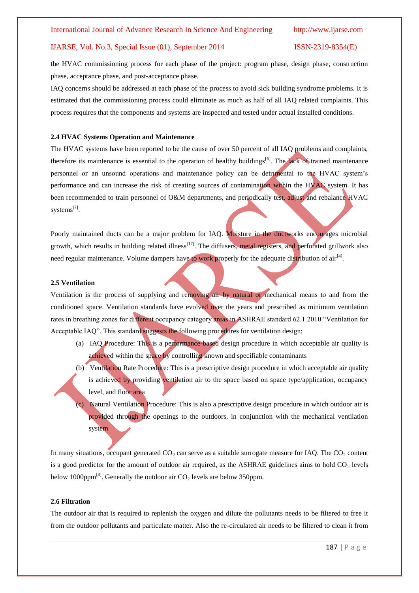the HVAC commissioning process for each phase of the project: program phase, design phase, construction phase, acceptance phase, and post-acceptance phase.

IAQ concerns should be addressed at each phase of the process to avoid sick building syndrome problems. It is estimated that the commissioning process could eliminate as much as half of all IAQ related complaints. This process requires that the components and systems are inspected and tested under actual installed conditions.

### **2.4 HVAC Systems Operation and Maintenance**

The HVAC systems have been reported to be the cause of over 50 percent of all IAQ problems and complaints, therefore its maintenance is essential to the operation of healthy buildings<sup>[\[6\]](#page-8-1)</sup>. The lack of trained maintenance personnel or an unsound operations and maintenance policy can be detrimental to the HVAC system's performance and can increase the risk of creating sources of contamination within the HVAC system. It has been recommended to train personnel of O&M departments, and periodically test, adjust and rebalance HVAC systems<sup>[\[7\]](#page-8-2)</sup>.

Poorly maintained ducts can be a major problem for IAQ. Moisture in the ductworks encourages microbial growth, which results in building related illness<sup>[\[17\]](#page-8-3)</sup>. The diffusers, metal registers, and perforated grillwork also need regular maintenance. Volume dampers have to work properly for the adequate distribution of air<sup>[\[4\]](#page-7-3)</sup>.

### **2.5 Ventilation**

Ventilation is the process of supplying and removing air by natural or mechanical means to and from the conditioned space. Ventilation standards have evolved over the years and prescribed as minimum ventilation rates in breathing zones for different occupancy category areas in ASHRAE standard 62.1 2010 "Ventilation for Acceptable IAQ". This standard suggests the following procedures for ventilation design:

- (a) IAQ Procedure: This is a performance-based design procedure in which acceptable air quality is achieved within the space by controlling known and specifiable contaminants
- (b) Ventilation Rate Procedure: This is a prescriptive design procedure in which acceptable air quality is achieved by providing ventilation air to the space based on space type/application, occupancy level, and floor area
	- Natural Ventilation Procedure: This is also a prescriptive design procedure in which outdoor air is provided through the openings to the outdoors, in conjunction with the mechanical ventilation system

In many situations, occupant generated  $CO<sub>2</sub>$  can serve as a suitable surrogate measure for IAQ. The  $CO<sub>2</sub>$  content is a good predictor for the amount of outdoor air required, as the ASHRAE guidelines aims to hold  $CO<sub>2</sub>$  levels below 1000ppm<sup>[\[8\]](#page-8-4)</sup>. Generally the outdoor air  $CO<sub>2</sub>$  levels are below 350ppm.

### **2.6 Filtration**

The outdoor air that is required to replenish the oxygen and dilute the pollutants needs to be filtered to free it from the outdoor pollutants and particulate matter. Also the re-circulated air needs to be filtered to clean it from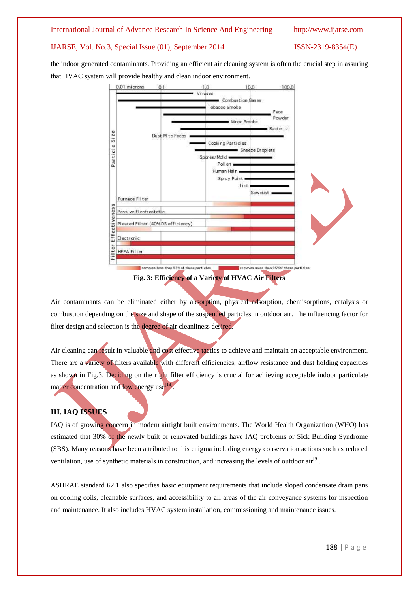### International Journal of Advance Research In Science And Engineering http://www.ijarse.com

### IJARSE, Vol. No.3, Special Issue (01), September 2014 ISSN-2319-8354(E)

the indoor generated contaminants. Providing an efficient air cleaning system is often the crucial step in assuring that HVAC system will provide healthy and clean indoor environment.



Air contaminants can be eliminated either by absorption, physical adsorption, chemisorptions, catalysis or

combustion depending on the size and shape of the suspended particles in outdoor air. The influencing factor for filter design and selection is the degree of air cleanliness desired.

Air cleaning can result in valuable and cost effective tactics to achieve and maintain an acceptable environment. There are a variety of filters available with different efficiencies, airflow resistance and dust holding capacities as shown in Fig.3. Deciding on the right filter efficiency is crucial for achieving acceptable indoor particulate matter concentration and low energy use<sup>[\[18\]](#page-8-5)</sup>.

### **III. IAQ ISSUES**

IAQ is of growing concern in modern airtight built environments. The World Health Organization (WHO) has estimated that 30% of the newly built or renovated buildings have IAQ problems or Sick Building Syndrome (SBS). Many reasons have been attributed to this enigma including energy conservation actions such as reduced ventilation, use of synthetic materials in construction, and increasing the levels of outdoor  $air^{[9]}$  $air^{[9]}$  $air^{[9]}$ .

ASHRAE standard 62.1 also specifies basic equipment requirements that include sloped condensate drain pans on cooling coils, cleanable surfaces, and accessibility to all areas of the air conveyance systems for inspection and maintenance. It also includes HVAC system installation, commissioning and maintenance issues.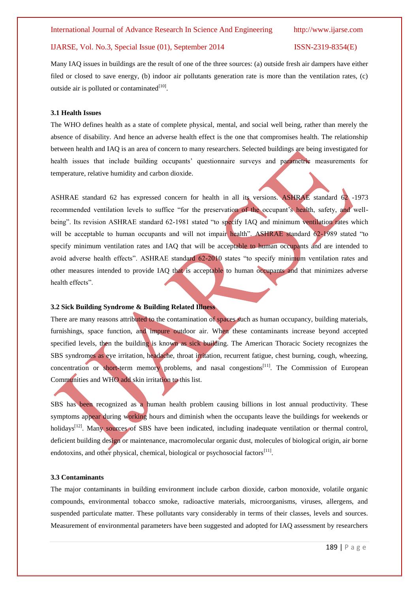Many IAQ issues in buildings are the result of one of the three sources: (a) outside fresh air dampers have either filed or closed to save energy, (b) indoor air pollutants generation rate is more than the ventilation rates, (c) outside air is polluted or contaminated $[10]$ .

### **3.1 Health Issues**

The WHO defines health as a state of complete physical, mental, and social well being, rather than merely the absence of disability. And hence an adverse health effect is the one that compromises health. The relationship between health and IAQ is an area of concern to many researchers. Selected buildings are being investigated for health issues that include building occupants' questionnaire surveys and parametric measurements for temperature, relative humidity and carbon dioxide.

ASHRAE standard 62 has expressed concern for health in all its versions. ASHRAE standard 62 -1973 recommended ventilation levels to suffice "for the preservation of the occupant's health, safety, and wellbeing". Its revision ASHRAE standard 62-1981 stated "to specify IAQ and minimum ventilation rates which will be acceptable to human occupants and will not impair health". ASHRAE standard 62-1989 stated "to specify minimum ventilation rates and IAQ that will be acceptable to human occupants and are intended to avoid adverse health effects". ASHRAE standard 62-2010 states "to specify minimum ventilation rates and other measures intended to provide IAQ that is acceptable to human occupants and that minimizes adverse health effects".

### **3.2 Sick Building Syndrome & Building Related Illness**

There are many reasons attributed to the contamination of spaces such as human occupancy, building materials, furnishings, space function, and impure outdoor air. When these contaminants increase beyond accepted specified levels, then the building is known as sick building. The American Thoracic Society recognizes the SBS syndromes as eye irritation, headache, throat irritation, recurrent fatigue, chest burning, cough, wheezing, concentration or short-term memory problems, and nasal congestions<sup>[\[11\]](#page-8-8)</sup>. The Commission of European Communities and WHO add skin irritation to this list.

SBS has been recognized as a human health problem causing billions in lost annual productivity. These symptoms appear during working hours and diminish when the occupants leave the buildings for weekends or holidays<sup>[\[12\]](#page-8-9)</sup>. Many sources of SBS have been indicated, including inadequate ventilation or thermal control, deficient building design or maintenance, macromolecular organic dust, molecules of biological origin, air borne endotoxins, and other physical, chemical, biological or psychosocial factors<sup>[\[11\]](#page-8-8)</sup>.

### **3.3 Contaminants**

The major contaminants in building environment include carbon dioxide, carbon monoxide, volatile organic compounds, environmental tobacco smoke, radioactive materials, microorganisms, viruses, allergens, and suspended particulate matter. These pollutants vary considerably in terms of their classes, levels and sources. Measurement of environmental parameters have been suggested and adopted for IAQ assessment by researchers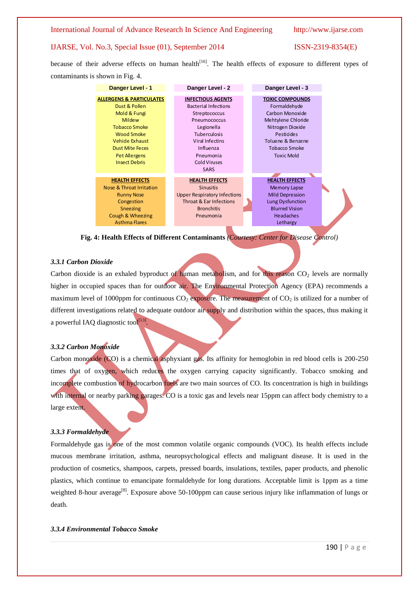International Journal of Advance Research In Science And Engineering http://www.ijarse.com

### IJARSE, Vol. No.3, Special Issue (01), September 2014 ISSN-2319-8354(E)

because of their adverse effects on human health<sup>[\[16\]](#page-8-10)</sup>. The health effects of exposure to different types of contaminants is shown in Fig. 4.

| Danger Level - 1                    | Danger Level - 2                    | Danger Level - 3       |
|-------------------------------------|-------------------------------------|------------------------|
| <b>ALLERGENS &amp; PARTICULATES</b> | <b>INFECTIOUS AGENTS</b>            | <b>TOXIC COMPOUNDS</b> |
| Dust & Pollen                       | <b>Bacterial Infections</b>         | Formaldehyde           |
| Mold & Fungi                        | Streptococcus                       | Carbon Monoxide        |
| Mildew                              | Pneumococcus                        | Mehtylene Chloride     |
| <b>Tobacco Smoke</b>                | Legionella                          | Nitrogen Dioxide       |
| <b>Wood Smoke</b>                   | <b>Tuberculosis</b>                 | Pesticides             |
| Vehide Exhaust                      | Viral Infectins                     | Toluene & Benzene      |
| <b>Dust Mite Feces</b>              | Influenza                           | <b>Tobacco Smoke</b>   |
| <b>Pet Allergens</b>                | Pneumonia                           | <b>Toxic Mold</b>      |
| <b>Insect Debris</b>                | <b>Cold Viruses</b>                 |                        |
|                                     | <b>SARS</b>                         |                        |
| <b>HEALTH EFFECTS</b>               | <b>HEALTH EFFECTS</b>               | <b>HEALTH EFFECTS</b>  |
| Nose & Throat Irritation            | <b>Sinusitis</b>                    | <b>Memory Lapse</b>    |
| <b>Runny Nose</b>                   | <b>Upper Respiratory Infections</b> | <b>Mild Depression</b> |
| Congestion                          | Throat & Ear Infections             | Lung Dysfunction       |
| Sneezing                            | <b>Bronchitis</b>                   | <b>Blurred Vision</b>  |
| Cough & Wheezing                    | Pneumonia                           | <b>Headaches</b>       |
| <b>Asthma Flares</b>                |                                     | Lethargy               |

**Fig. 4: Health Effects of Different Contaminants** *(Courtesy: Center for Disease Control)*

### *3.3.1 Carbon Dioxide*

Carbon dioxide is an exhaled byproduct of human metabolism, and for this reason  $CO<sub>2</sub>$  levels are normally higher in occupied spaces than for outdoor air. The Environmental Protection Agency (EPA) recommends a maximum level of 1000ppm for continuous  $CO_2$  exposure. The measurement of  $CO_2$  is utilized for a number of different investigations related to adequate outdoor air supply and distribution within the spaces, thus making it a powerful IAQ diagnostic tool<sup>[\[13\]](#page-8-11)</sup>.

### *3.3.2 Carbon Monoxide*

Carbon monoxide (CO) is a chemical asphyxiant gas. Its affinity for hemoglobin in red blood cells is 200-250 times that of oxygen, which reduces the oxygen carrying capacity significantly. Tobacco smoking and incomplete combustion of hydrocarbon fuels are two main sources of CO. Its concentration is high in buildings with internal or nearby parking garages. CO is a toxic gas and levels near 15ppm can affect body chemistry to a large extent.

### *3.3.3 Formaldehyde*

Formaldehyde gas is one of the most common volatile organic compounds (VOC). Its health effects include mucous membrane irritation, asthma, neuropsychological effects and malignant disease. It is used in the production of cosmetics, shampoos, carpets, pressed boards, insulations, textiles, paper products, and phenolic plastics, which continue to emancipate formaldehyde for long durations. Acceptable limit is 1ppm as a time weighted 8-hour average<sup>[\[8\]](#page-8-4)</sup>. Exposure above 50-100ppm can cause serious injury like inflammation of lungs or death.

### *3.3.4 Environmental Tobacco Smoke*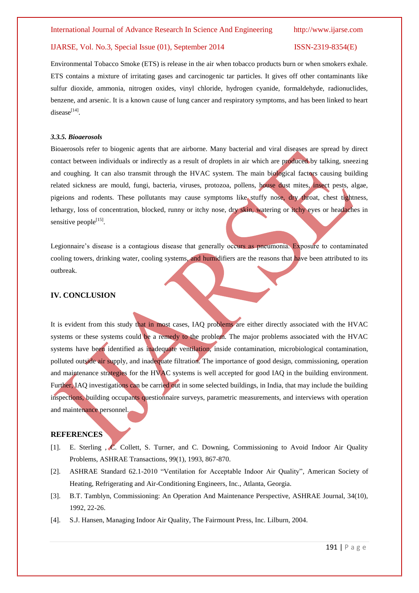Environmental Tobacco Smoke (ETS) is release in the air when tobacco products burn or when smokers exhale. ETS contains a mixture of irritating gases and carcinogenic tar particles. It gives off other contaminants like sulfur dioxide, ammonia, nitrogen oxides, vinyl chloride, hydrogen cyanide, formaldehyde, radionuclides, benzene, and arsenic. It is a known cause of lung cancer and respiratory symptoms, and has been linked to heart  $disease<sup>[14]</sup>$  $disease<sup>[14]</sup>$  $disease<sup>[14]</sup>$ .

### *3.3.5. Bioaerosols*

Bioaerosols refer to biogenic agents that are airborne. Many bacterial and viral diseases are spread by direct contact between individuals or indirectly as a result of droplets in air which are produced by talking, sneezing and coughing. It can also transmit through the HVAC system. The main biological factors causing building related sickness are mould, fungi, bacteria, viruses, protozoa, pollens, house dust mites, insect pests, algae, pigeions and rodents. These pollutants may cause symptoms like stuffy nose, dry throat, chest tightness, lethargy, loss of concentration, blocked, runny or itchy nose, dry skin, watering or itchy eyes or headaches in sensitive people<sup>[\[15\]](#page-8-13)</sup>.

Legionnaire's disease is a contagious disease that generally occurs as pneumonia. Exposure to contaminated cooling towers, drinking water, cooling systems, and humidifiers are the reasons that have been attributed to its outbreak.

### **IV. CONCLUSION**

It is evident from this study that in most cases, IAQ problems are either directly associated with the HVAC systems or these systems could be a remedy to the problem. The major problems associated with the HVAC systems have been identified as inadequate ventilation, inside contamination, microbiological contamination, polluted outside air supply, and inadequate filtration. The importance of good design, commissioning, operation and maintenance strategies for the HVAC systems is well accepted for good IAQ in the building environment. Further, IAQ investigations can be carried out in some selected buildings, in India, that may include the building inspections, building occupants questionnaire surveys, parametric measurements, and interviews with operation and maintenance personnel.

### **REFERENCES**

- <span id="page-7-0"></span>[1]. E. Sterling , C. Collett, S. Turner, and C. Downing, Commissioning to Avoid Indoor Air Quality Problems, ASHRAE Transactions, 99(1), 1993, 867-870.
- <span id="page-7-1"></span>[2]. ASHRAE Standard 62.1-2010 "Ventilation for Acceptable Indoor Air Quality", American Society of Heating, Refrigerating and Air-Conditioning Engineers, Inc., Atlanta, Georgia.
- <span id="page-7-2"></span>[3]. B.T. Tamblyn, Commissioning: An Operation And Maintenance Perspective, ASHRAE Journal, 34(10), 1992, 22-26.
- <span id="page-7-3"></span>[4]. S.J. Hansen, Managing Indoor Air Quality, The Fairmount Press, Inc. Lilburn, 2004.